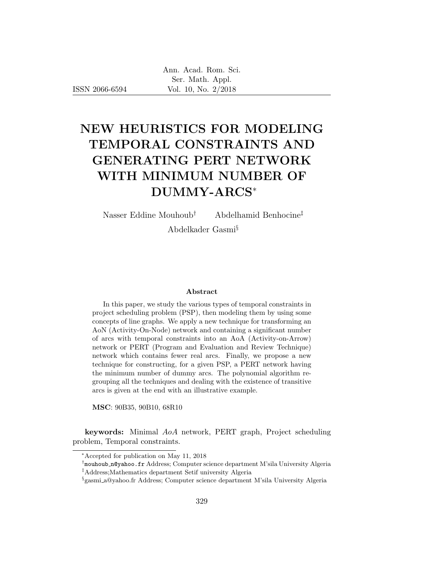ISSN 2066-6594

# NEW HEURISTICS FOR MODELING TEMPORAL CONSTRAINTS AND GENERATING PERT NETWORK WITH MINIMUM NUMBER OF DUMMY-ARCS<sup>∗</sup>

Nasser Eddine Mouhoub† Abdelhamid Benhocine‡

Abdelkader Gasmi§

#### Abstract

In this paper, we study the various types of temporal constraints in project scheduling problem (PSP), then modeling them by using some concepts of line graphs. We apply a new technique for transforming an AoN (Activity-On-Node) network and containing a significant number of arcs with temporal constraints into an AoA (Activity-on-Arrow) network or PERT (Program and Evaluation and Review Technique) network which contains fewer real arcs. Finally, we propose a new technique for constructing, for a given PSP, a PERT network having the minimum number of dummy arcs. The polynomial algorithm regrouping all the techniques and dealing with the existence of transitive arcs is given at the end with an illustrative example.

MSC: 90B35, 90B10, 68R10

keywords: Minimal AoA network, PERT graph, Project scheduling problem, Temporal constraints.

<sup>∗</sup>Accepted for publication on May 11, 2018

<sup>†</sup> mouhoub n@yahoo.fr Address; Computer science department M'sila University Algeria ‡Address;Mathematics department Setif university Algeria

<sup>§</sup> gasmi a@yahoo.fr Address; Computer science department M'sila University Algeria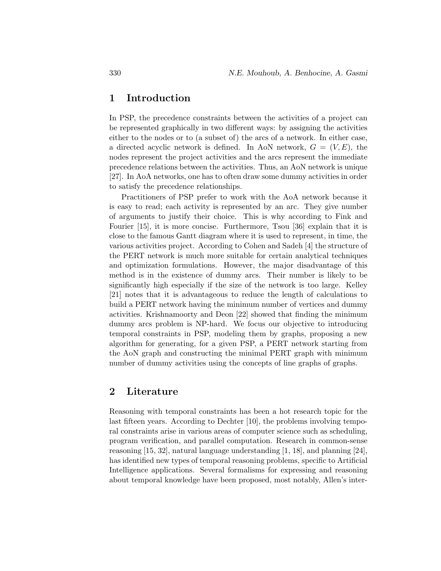# 1 Introduction

In PSP, the precedence constraints between the activities of a project can be represented graphically in two different ways: by assigning the activities either to the nodes or to (a subset of) the arcs of a network. In either case, a directed acyclic network is defined. In AoN network,  $G = (V, E)$ , the nodes represent the project activities and the arcs represent the immediate precedence relations between the activities. Thus, an AoN network is unique [27]. In AoA networks, one has to often draw some dummy activities in order to satisfy the precedence relationships.

Practitioners of PSP prefer to work with the AoA network because it is easy to read; each activity is represented by an arc. They give number of arguments to justify their choice. This is why according to Fink and Fourier [15], it is more concise. Furthermore, Tsou [36] explain that it is close to the famous Gantt diagram where it is used to represent, in time, the various activities project. According to Cohen and Sadeh [4] the structure of the PERT network is much more suitable for certain analytical techniques and optimization formulations. However, the major disadvantage of this method is in the existence of dummy arcs. Their number is likely to be significantly high especially if the size of the network is too large. Kelley [21] notes that it is advantageous to reduce the length of calculations to build a PERT network having the minimum number of vertices and dummy activities. Krishnamoorty and Deon [22] showed that finding the minimum dummy arcs problem is NP-hard. We focus our objective to introducing temporal constraints in PSP, modeling them by graphs, proposing a new algorithm for generating, for a given PSP, a PERT network starting from the AoN graph and constructing the minimal PERT graph with minimum number of dummy activities using the concepts of line graphs of graphs.

# 2 Literature

Reasoning with temporal constraints has been a hot research topic for the last fifteen years. According to Dechter [10], the problems involving temporal constraints arise in various areas of computer science such as scheduling, program verification, and parallel computation. Research in common-sense reasoning  $[15, 32]$ , natural language understanding  $[1, 18]$ , and planning  $[24]$ , has identified new types of temporal reasoning problems, specific to Artificial Intelligence applications. Several formalisms for expressing and reasoning about temporal knowledge have been proposed, most notably, Allen's inter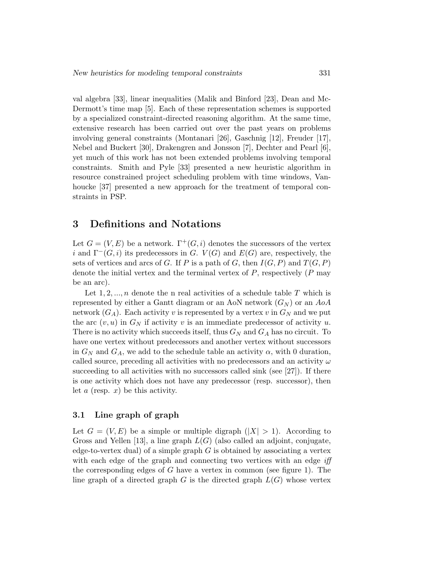val algebra [33], linear inequalities (Malik and Binford [23], Dean and Mc-Dermott's time map [5]. Each of these representation schemes is supported by a specialized constraint-directed reasoning algorithm. At the same time, extensive research has been carried out over the past years on problems involving general constraints (Montanari [26], Gaschnig [12], Freuder [17], Nebel and Buckert [30], Drakengren and Jonsson [7], Dechter and Pearl [6], yet much of this work has not been extended problems involving temporal constraints. Smith and Pyle [33] presented a new heuristic algorithm in resource constrained project scheduling problem with time windows, Vanhoucke [37] presented a new approach for the treatment of temporal constraints in PSP.

### 3 Definitions and Notations

Let  $G = (V, E)$  be a network.  $\Gamma^+(G, i)$  denotes the successors of the vertex i and  $\Gamma^-(G, i)$  its predecessors in G.  $V(G)$  and  $E(G)$  are, respectively, the sets of vertices and arcs of G. If P is a path of G, then  $I(G, P)$  and  $T(G, P)$ denote the initial vertex and the terminal vertex of  $P$ , respectively  $(P \text{ may})$ be an arc).

Let  $1, 2, ..., n$  denote the n real activities of a schedule table T which is represented by either a Gantt diagram or an AoN network  $(G_N)$  or an AoA network  $(G_A)$ . Each activity v is represented by a vertex v in  $G_N$  and we put the arc  $(v, u)$  in  $G_N$  if activity v is an immediate predecessor of activity u. There is no activity which succeeds itself, thus  $G_N$  and  $G_A$  has no circuit. To have one vertex without predecessors and another vertex without successors in  $G_N$  and  $G_A$ , we add to the schedule table an activity  $\alpha$ , with 0 duration, called source, preceding all activities with no predecessors and an activity  $\omega$ succeeding to all activities with no successors called sink (see [27]). If there is one activity which does not have any predecessor (resp. successor), then let  $a$  (resp.  $x$ ) be this activity.

#### 3.1 Line graph of graph

Let  $G = (V, E)$  be a simple or multiple digraph  $(|X| > 1)$ . According to Gross and Yellen [13], a line graph  $L(G)$  (also called an adjoint, conjugate, edge-to-vertex dual) of a simple graph  $G$  is obtained by associating a vertex with each edge of the graph and connecting two vertices with an edge *iff* the corresponding edges of  $G$  have a vertex in common (see figure 1). The line graph of a directed graph  $G$  is the directed graph  $L(G)$  whose vertex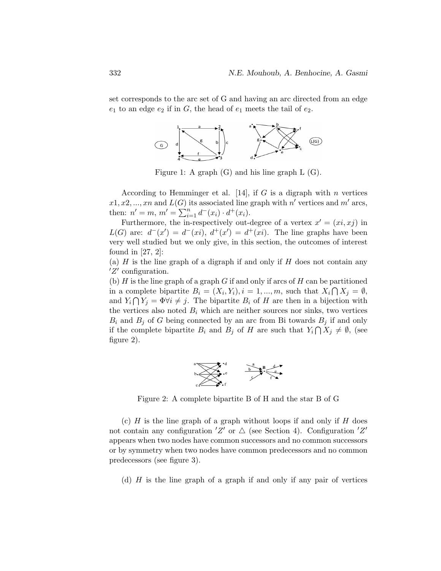set corresponds to the arc set of G and having an arc directed from an edge  $e_1$  to an edge  $e_2$  if in  $G$ , the head of  $e_1$  meets the tail of  $e_2$ .



Figure 1: A graph (G) and his line graph L (G).

According to Hemminger et al. [14], if G is a digraph with n vertices  $x_1, x_2, \ldots, x_n$  and  $L(G)$  its associated line graph with n' vertices and m' arcs, then:  $n' = m$ ,  $m' = \sum_{i=1}^{n} d^-(x_i) \cdot d^+(x_i)$ .

Furthermore, the in-respectively out-degree of a vertex  $x' = (xi, xj)$  in  $L(G)$  are:  $d^-(x') = d^-(xi)$ ,  $d^+(x') = d^+(xi)$ . The line graphs have been very well studied but we only give, in this section, the outcomes of interest found in  $[27, 2]$ :

(a)  $H$  is the line graph of a digraph if and only if  $H$  does not contain any  $Z'$  configuration.

(b)  $H$  is the line graph of a graph  $G$  if and only if arcs of  $H$  can be partitioned in a complete bipartite  $B_i = (X_i, Y_i), i = 1, ..., m$ , such that  $X_i \cap X_j = \emptyset$ , and  $Y_i \cap Y_j = \Phi \forall i \neq j$ . The bipartite  $B_i$  of H are then in a bijection with the vertices also noted  $B_i$  which are neither sources nor sinks, two vertices  $B_i$  and  $B_j$  of G being connected by an arc from Bi towards  $B_j$  if and only if the complete bipartite  $B_i$  and  $B_j$  of H are such that  $Y_i \cap X_j \neq \emptyset$ , (see figure 2).



Figure 2: A complete bipartite B of H and the star B of G

(c)  $H$  is the line graph of a graph without loops if and only if  $H$  does not contain any configuration  $Z'$  or  $\Delta$  (see Section 4). Configuration  $Z'$ appears when two nodes have common successors and no common successors or by symmetry when two nodes have common predecessors and no common predecessors (see figure 3).

(d)  $H$  is the line graph of a graph if and only if any pair of vertices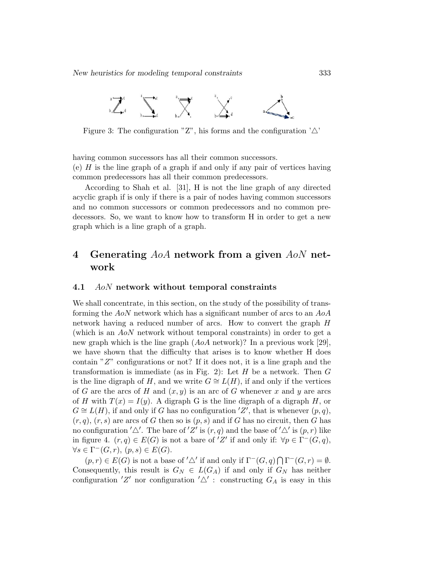

Figure 3: The configuration "Z", his forms and the configuration  $'\triangle'$ 

having common successors has all their common successors. (e)  $H$  is the line graph of a graph if and only if any pair of vertices having common predecessors has all their common predecessors.

According to Shah et al. [31], H is not the line graph of any directed acyclic graph if is only if there is a pair of nodes having common successors and no common successors or common predecessors and no common predecessors. So, we want to know how to transform H in order to get a new graph which is a line graph of a graph.

# 4 Generating AoA network from a given AoN network

#### 4.1 AoN network without temporal constraints

We shall concentrate, in this section, on the study of the possibility of transforming the AoN network which has a significant number of arcs to an AoA network having a reduced number of arcs. How to convert the graph H (which is an AoN network without temporal constraints) in order to get a new graph which is the line graph (AoA network)? In a previous work [29], we have shown that the difficulty that arises is to know whether H does contain "Z" configurations or not? If it does not, it is a line graph and the transformation is immediate (as in Fig. 2): Let  $H$  be a network. Then  $G$ is the line digraph of H, and we write  $G \cong L(H)$ , if and only if the vertices of G are the arcs of H and  $(x, y)$  is an arc of G whenever x and y are arcs of H with  $T(x) = I(y)$ . A digraph G is the line digraph of a digraph H, or  $G \cong L(H)$ , if and only if G has no configuration  $Z'$ , that is whenever  $(p, q)$ ,  $(r, q)$ ,  $(r, s)$  are arcs of G then so is  $(p, s)$  and if G has no circuit, then G has no configuration  $'\Delta'$ . The bare of 'Z' is  $(r, q)$  and the base of ' $\Delta'$  is  $(p, r)$  like in figure 4.  $(r, q) \in E(G)$  is not a bare of 'Z' if and only if:  $\forall p \in \Gamma^-(G, q)$ ,  $\forall s \in \Gamma^-(G,r), (p,s) \in E(G).$ 

 $(p, r) \in E(G)$  is not a base of ' $\triangle'$  if and only if  $\Gamma^-(G, q) \cap \Gamma^-(G, r) = \emptyset$ . Consequently, this result is  $G_N \in L(G_A)$  if and only if  $G_N$  has neither configuration  $Z'$  nor configuration  $'\triangle'$ : constructing  $G_A$  is easy in this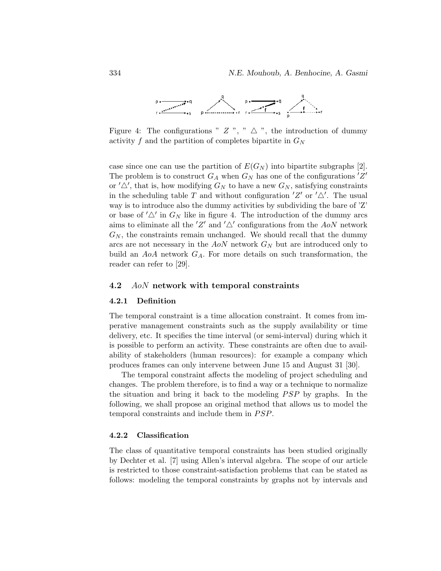

Figure 4: The configurations "  $Z$ ", "  $\triangle$ ", the introduction of dummy activity f and the partition of completes bipartite in  $G_N$ 

case since one can use the partition of  $E(G_N)$  into bipartite subgraphs [2]. The problem is to construct  $G_A$  when  $G_N$  has one of the configurations  $Z'$ or  $'\Delta'$ , that is, how modifying  $G_N$  to have a new  $G_N$ , satisfying constraints in the scheduling table T and without configuration  $Z'$  or  $'\Delta'$ . The usual way is to introduce also the dummy activities by subdividing the bare of 'Z' or base of  $'\triangle'$  in  $G_N$  like in figure 4. The introduction of the dummy arcs aims to eliminate all the 'Z' and ' $\triangle'$  configurations from the AoN network  $G_N$ , the constraints remain unchanged. We should recall that the dummy arcs are not necessary in the  $AoN$  network  $G_N$  but are introduced only to build an  $AoA$  network  $G_A$ . For more details on such transformation, the reader can refer to [29].

#### 4.2 AoN network with temporal constraints

#### 4.2.1 Definition

The temporal constraint is a time allocation constraint. It comes from imperative management constraints such as the supply availability or time delivery, etc. It specifies the time interval (or semi-interval) during which it is possible to perform an activity. These constraints are often due to availability of stakeholders (human resources): for example a company which produces frames can only intervene between June 15 and August 31 [30].

The temporal constraint affects the modeling of project scheduling and changes. The problem therefore, is to find a way or a technique to normalize the situation and bring it back to the modeling  $PSP$  by graphs. In the following, we shall propose an original method that allows us to model the temporal constraints and include them in PSP.

#### 4.2.2 Classification

The class of quantitative temporal constraints has been studied originally by Dechter et al. [7] using Allen's interval algebra. The scope of our article is restricted to those constraint-satisfaction problems that can be stated as follows: modeling the temporal constraints by graphs not by intervals and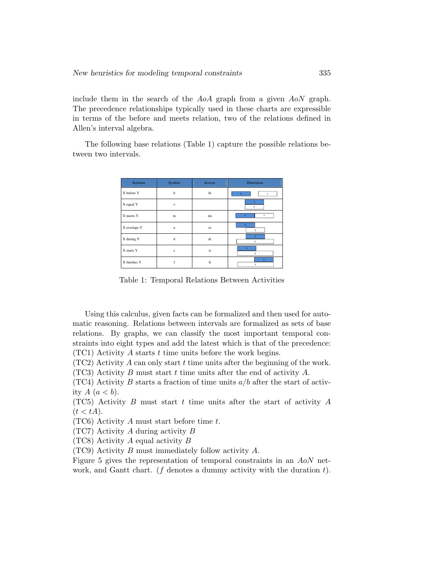include them in the search of the AoA graph from a given AoN graph. The precedence relationships typically used in these charts are expressible in terms of the before and meets relation, two of the relations defined in Allen's interval algebra.

The following base relations (Table 1) capture the possible relations between two intervals.

| Relation     | Symbol  | Inverse | Illustration      |  |  |
|--------------|---------|---------|-------------------|--|--|
| X before Y   | b       | bi      | $\mathbf x$<br>Y  |  |  |
| X equal Y    | $=$     |         | $\mathbf x$<br>Y  |  |  |
| X meets Y    | m       | mi      | $\mathbf x$<br>Y  |  |  |
| X overlaps Y | $\circ$ | oi      | $\bf x$<br>Y      |  |  |
| X during Y   | d       | di      | $\mathbf x$<br>Y  |  |  |
| X starts Y   | s       | si      | $\mathbf{x}$<br>Y |  |  |
| X finishes Y | f       | fi      | $\mathbf x$<br>Y  |  |  |

Table 1: Temporal Relations Between Activities

Using this calculus, given facts can be formalized and then used for automatic reasoning. Relations between intervals are formalized as sets of base relations. By graphs, we can classify the most important temporal constraints into eight types and add the latest which is that of the precedence:  $(TC1)$  Activity A starts t time units before the work begins.

 $(TC2)$  Activity A can only start t time units after the beginning of the work.

(TC3) Activity B must start t time units after the end of activity  $A$ .

 $(TC4)$  Activity B starts a fraction of time units  $a/b$  after the start of activity  $A(a < b)$ .

(TC5) Activity B must start t time units after the start of activity  $A$  $(t < tA).$ 

(TC6) Activity A must start before time  $t$ .

(TC7) Activity A during activity B

(TC8) Activity A equal activity B

(TC9) Activity B must immediately follow activity A.

Figure 5 gives the representation of temporal constraints in an AoN network, and Gantt chart. (f denotes a dummy activity with the duration  $t$ ).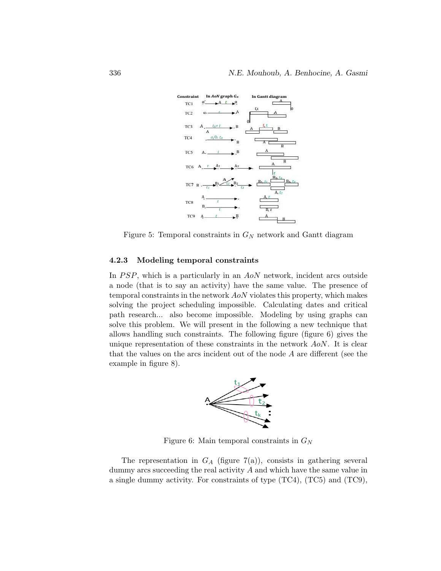

Figure 5: Temporal constraints in  $G_N$  network and Gantt diagram

#### 4.2.3 Modeling temporal constraints

In  $PSP$ , which is a particularly in an  $AoN$  network, incident arcs outside a node (that is to say an activity) have the same value. The presence of temporal constraints in the network AoN violates this property, which makes solving the project scheduling impossible. Calculating dates and critical path research... also become impossible. Modeling by using graphs can solve this problem. We will present in the following a new technique that allows handling such constraints. The following figure (figure 6) gives the unique representation of these constraints in the network AoN. It is clear that the values on the arcs incident out of the node A are different (see the example in figure 8).



Figure 6: Main temporal constraints in  $G_N$ 

The representation in  $G_A$  (figure 7(a)), consists in gathering several dummy arcs succeeding the real activity  $A$  and which have the same value in a single dummy activity. For constraints of type (TC4), (TC5) and (TC9),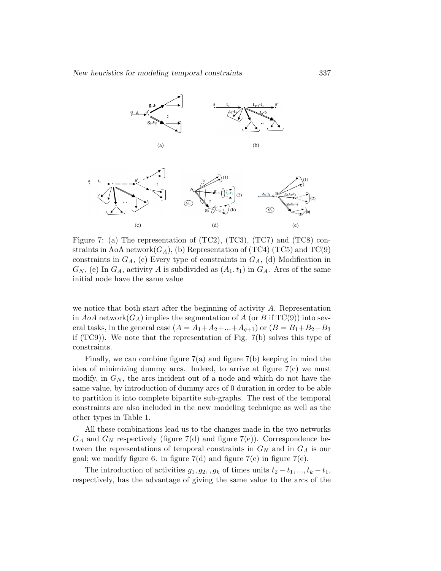



Figure 7: (a) The representation of  $(TC2)$ ,  $(TC3)$ ,  $(TC7)$  and  $(TC8)$  constraints in AoA network $(G_A)$ , (b) Representation of (TC4) (TC5) and TC(9) constraints in  $G_A$ , (c) Every type of constraints in  $G_A$ , (d) Modification in  $G_N$ , (e) In  $G_A$ , activity A is subdivided as  $(A_1, t_1)$  in  $G_A$ . Arcs of the same initial node have the same value

we notice that both start after the beginning of activity A. Representation in  $AoA$  network $(G_A)$  implies the segmentation of A (or B if TC(9)) into several tasks, in the general case  $(A = A_1 + A_2 + ... + A_{q+1})$  or  $(B = B_1 + B_2 + B_3)$ if (TC9)). We note that the representation of Fig. 7(b) solves this type of constraints.

Finally, we can combine figure  $7(a)$  and figure  $7(b)$  keeping in mind the idea of minimizing dummy arcs. Indeed, to arrive at figure 7(c) we must modify, in  $G_N$ , the arcs incident out of a node and which do not have the same value, by introduction of dummy arcs of 0 duration in order to be able to partition it into complete bipartite sub-graphs. The rest of the temporal constraints are also included in the new modeling technique as well as the other types in Table 1.

All these combinations lead us to the changes made in the two networks  $G_A$  and  $G_N$  respectively (figure 7(d) and figure 7(e)). Correspondence between the representations of temporal constraints in  $G_N$  and in  $G_A$  is our goal; we modify figure 6. in figure  $7(d)$  and figure  $7(c)$  in figure  $7(e)$ .

The introduction of activities  $g_1, g_2, g_k$  of times units  $t_2 - t_1, ..., t_k - t_1$ , respectively, has the advantage of giving the same value to the arcs of the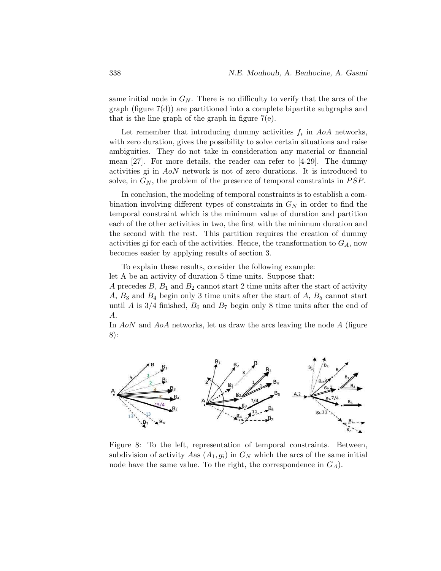same initial node in  $G_N$ . There is no difficulty to verify that the arcs of the graph (figure  $7(d)$ ) are partitioned into a complete bipartite subgraphs and that is the line graph of the graph in figure  $7(e)$ .

Let remember that introducing dummy activities  $f_i$  in  $AoA$  networks, with zero duration, gives the possibility to solve certain situations and raise ambiguities. They do not take in consideration any material or financial mean [27]. For more details, the reader can refer to [4-29]. The dummy activities gi in AoN network is not of zero durations. It is introduced to solve, in  $G_N$ , the problem of the presence of temporal constraints in  $PSP$ .

In conclusion, the modeling of temporal constraints is to establish a combination involving different types of constraints in  $G_N$  in order to find the temporal constraint which is the minimum value of duration and partition each of the other activities in two, the first with the minimum duration and the second with the rest. This partition requires the creation of dummy activities gi for each of the activities. Hence, the transformation to  $G_A$ , now becomes easier by applying results of section 3.

To explain these results, consider the following example: let A be an activity of duration 5 time units. Suppose that:

A precedes  $B, B_1$  and  $B_2$  cannot start 2 time units after the start of activity  $A, B_3$  and  $B_4$  begin only 3 time units after the start of  $A, B_5$  cannot start until A is  $3/4$  finished,  $B_6$  and  $B_7$  begin only 8 time units after the end of A.

In  $AoN$  and  $AoA$  networks, let us draw the arcs leaving the node  $A$  (figure 8):



Figure 8: To the left, representation of temporal constraints. Between, subdivision of activity Aas  $(A_1, g_i)$  in  $G_N$  which the arcs of the same initial node have the same value. To the right, the correspondence in  $G_A$ ).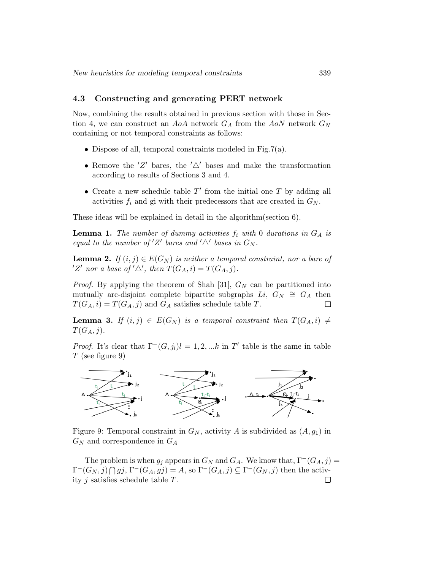#### 4.3 Constructing and generating PERT network

Now, combining the results obtained in previous section with those in Section 4, we can construct an AoA network  $G_A$  from the AoN network  $G_N$ containing or not temporal constraints as follows:

- Dispose of all, temporal constraints modeled in Fig.7(a).
- Remove the  $Z'$  bares, the  $'\Delta'$  bases and make the transformation according to results of Sections 3 and 4.
- Create a new schedule table  $T'$  from the initial one  $T$  by adding all activities  $f_i$  and gi with their predecessors that are created in  $G_N$ .

These ideas will be explained in detail in the algorithm(section 6).

**Lemma 1.** The number of dummy activities  $f_i$  with 0 durations in  $G_A$  is equal to the number of  $Z'$  bares and  $'\triangle'$  bases in  $G_N$ .

**Lemma 2.** If  $(i, j) \in E(G_N)$  is neither a temporal constraint, nor a bare of 'Z' nor a base of ' $\triangle'$ , then  $T(G_A, i) = T(G_A, j)$ .

*Proof.* By applying the theorem of Shah [31],  $G_N$  can be partitioned into mutually arc-disjoint complete bipartite subgraphs  $Li, G_N \cong G_A$  then  $T(G_A, i) = T(G_A, j)$  and  $G_A$  satisfies schedule table T.  $\Box$ 

**Lemma 3.** If  $(i, j) \in E(G_N)$  is a temporal constraint then  $T(G_A, i) \neq j$  $T(G_A, j).$ 

*Proof.* It's clear that  $\Gamma^-(G, j_l)l = 1, 2, ...k$  in T' table is the same in table  $T$  (see figure 9)



Figure 9: Temporal constraint in  $G_N$ , activity A is subdivided as  $(A, g_1)$  in  $G_N$  and correspondence in  $G_A$ 

The problem is when  $g_j$  appears in  $G_N$  and  $G_A$ . We know that,  $\Gamma^-(G_A, j) =$  $\Gamma^-(G_N, j) \bigcap gj$ ,  $\Gamma^-(G_A, gj) = A$ , so  $\Gamma^-(G_A, j) \subseteq \Gamma^-(G_N, j)$  then the activity j satisfies schedule table T. $\Box$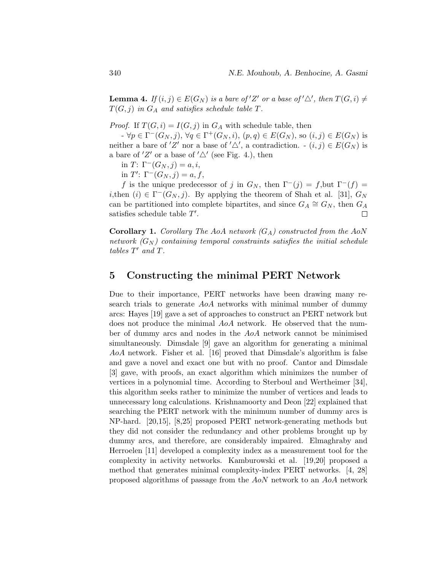**Lemma 4.** If  $(i, j) \in E(G_N)$  is a bare of 'Z' or a base of ' $\triangle'$ , then  $T(G, i) \neq$  $T(G, j)$  in  $G_A$  and satisfies schedule table T.

*Proof.* If  $T(G, i) = I(G, j)$  in  $G_A$  with schedule table, then

 $-\forall p \in \Gamma^-(G_N, j), \forall q \in \Gamma^+(G_N, i), (p, q) \in E(G_N)$ , so  $(i, j) \in E(G_N)$  is neither a bare of 'Z' nor a base of ' $\triangle'$ , a contradiction.  $\cdot$   $(i, j) \in E(G_N)$  is a bare of  $Z'$  or a base of  $'\triangle'$  (see Fig. 4.), then

in  $T: \Gamma^{-}(G_N, j) = a, i$ ,

in  $T'$ :  $\Gamma^-(G_N, j) = a, f$ ,

f is the unique predecessor of j in  $G_N$ , then  $\Gamma^-(j) = f$ , but  $\Gamma^-(f) =$ *i*,then  $(i) \in \Gamma^{-}(G_N, j)$ . By applying the theorem of Shah et al. [31],  $G_N$ can be partitioned into complete bipartites, and since  $G_A \cong G_N$ , then  $G_A$ satisfies schedule table  $T'$ .  $\Box$ 

**Corollary 1.** Corollary The AoA network  $(G_A)$  constructed from the AoN network  $(G_N)$  containing temporal constraints satisfies the initial schedule tables  $T'$  and  $T$ .

### 5 Constructing the minimal PERT Network

Due to their importance, PERT networks have been drawing many research trials to generate AoA networks with minimal number of dummy arcs: Hayes [19] gave a set of approaches to construct an PERT network but does not produce the minimal AoA network. He observed that the number of dummy arcs and nodes in the AoA network cannot be minimised simultaneously. Dimsdale [9] gave an algorithm for generating a minimal AoA network. Fisher et al. [16] proved that Dimsdale's algorithm is false and gave a novel and exact one but with no proof. Cantor and Dimsdale [3] gave, with proofs, an exact algorithm which minimizes the number of vertices in a polynomial time. According to Sterboul and Wertheimer [34], this algorithm seeks rather to minimize the number of vertices and leads to unnecessary long calculations. Krishnamoorty and Deon [22] explained that searching the PERT network with the minimum number of dummy arcs is NP-hard. [20,15], [8,25] proposed PERT network-generating methods but they did not consider the redundancy and other problems brought up by dummy arcs, and therefore, are considerably impaired. Elmaghraby and Herroelen [11] developed a complexity index as a measurement tool for the complexity in activity networks. Kamburowski et al. [19,20] proposed a method that generates minimal complexity-index PERT networks. [4, 28] proposed algorithms of passage from the AoN network to an AoA network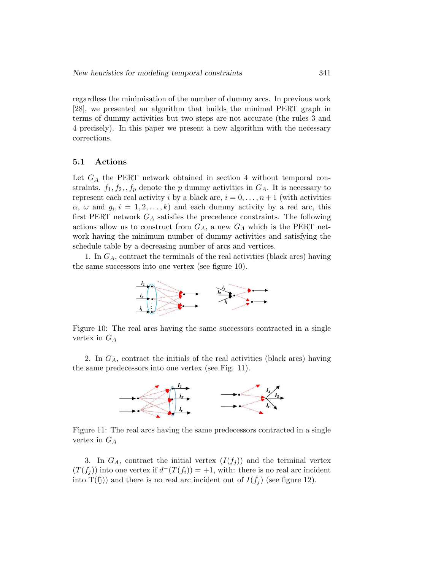regardless the minimisation of the number of dummy arcs. In previous work [28], we presented an algorithm that builds the minimal PERT graph in terms of dummy activities but two steps are not accurate (the rules 3 and 4 precisely). In this paper we present a new algorithm with the necessary corrections.

#### 5.1 Actions

Let  $G_A$  the PERT network obtained in section 4 without temporal constraints.  $f_1, f_2, f_p$  denote the p dummy activities in  $G_A$ . It is necessary to represent each real activity i by a black arc,  $i = 0, \ldots, n + 1$  (with activities  $\alpha, \omega$  and  $g_i, i = 1, 2, \ldots, k$  and each dummy activity by a red arc, this first PERT network  $G_A$  satisfies the precedence constraints. The following actions allow us to construct from  $G_A$ , a new  $G_A$  which is the PERT network having the minimum number of dummy activities and satisfying the schedule table by a decreasing number of arcs and vertices.

1. In  $G_A$ , contract the terminals of the real activities (black arcs) having the same successors into one vertex (see figure 10).



Figure 10: The real arcs having the same successors contracted in a single vertex in  $G_A$ 

2. In  $G_A$ , contract the initials of the real activities (black arcs) having the same predecessors into one vertex (see Fig. 11).



Figure 11: The real arcs having the same predecessors contracted in a single vertex in  $G_A$ 

3. In  $G_A$ , contract the initial vertex  $(I(f_i))$  and the terminal vertex  $(T(f_j))$  into one vertex if  $d^-(T(f_i)) = +1$ , with: there is no real arc incident into T(fj)) and there is no real arc incident out of  $I(f_i)$  (see figure 12).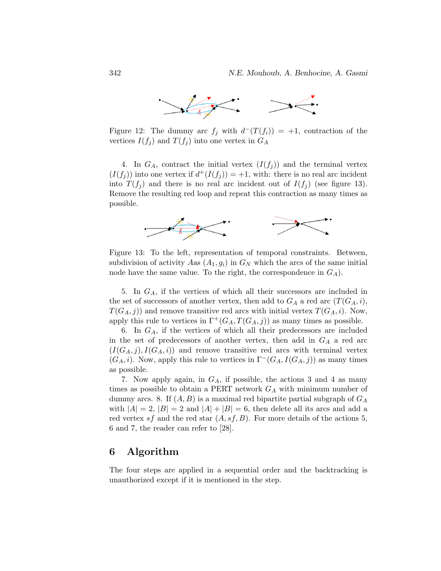

Figure 12: The dummy arc  $f_j$  with  $d^-(T(f_i)) = +1$ , contraction of the vertices  $I(f_j)$  and  $T(f_j)$  into one vertex in  $G_A$ 

4. In  $G_A$ , contract the initial vertex  $(I(f_i))$  and the terminal vertex  $(I(f_j))$  into one vertex if  $d^+(I(f_j)) = +1$ , with: there is no real arc incident into  $T(f_i)$  and there is no real arc incident out of  $I(f_i)$  (see figure 13). Remove the resulting red loop and repeat this contraction as many times as possible.



Figure 13: To the left, representation of temporal constraints. Between, subdivision of activity Aas  $(A_1, g_i)$  in  $G_N$  which the arcs of the same initial node have the same value. To the right, the correspondence in  $G_A$ ).

5. In  $G_A$ , if the vertices of which all their successors are included in the set of successors of another vertex, then add to  $G_A$  a red arc  $(T(G_A, i),$  $T(G_A, j)$  and remove transitive red arcs with initial vertex  $T(G_A, i)$ . Now, apply this rule to vertices in  $\Gamma^+(G_A, T(G_A, j))$  as many times as possible.

6. In  $G_A$ , if the vertices of which all their predecessors are included in the set of predecessors of another vertex, then add in  $G_A$  a red arc  $(I(G_A, j), I(G_A, i))$  and remove transitive red arcs with terminal vertex  $(G_A, i)$ . Now, apply this rule to vertices in  $\Gamma^-(G_A, I(G_A, j))$  as many times as possible.

7. Now apply again, in  $G_A$ , if possible, the actions 3 and 4 as many times as possible to obtain a PERT network  $G_A$  with minimum number of dummy arcs. 8. If  $(A, B)$  is a maximal red bipartite partial subgraph of  $G_A$ with  $|A| = 2$ ,  $|B| = 2$  and  $|A| + |B| = 6$ , then delete all its arcs and add a red vertex sf and the red star  $(A, sf, B)$ . For more details of the actions 5, 6 and 7, the reader can refer to [28].

## 6 Algorithm

The four steps are applied in a sequential order and the backtracking is unauthorized except if it is mentioned in the step.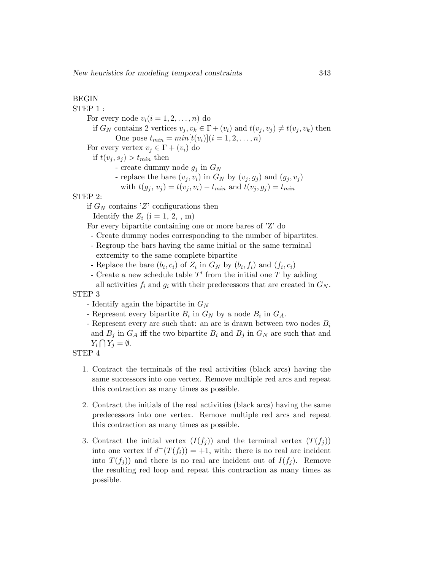# BEGIN

STEP 1 : For every node  $v_i(i = 1, 2, \ldots, n)$  do if  $G_N$  contains 2 vertices  $v_j, v_k \in \Gamma + (v_i)$  and  $t(v_j, v_j) \neq t(v_j, v_k)$  then One pose  $t_{min} = min[t(v_i)]$   $(i = 1, 2, ..., n)$ For every vertex  $v_j \in \Gamma + (v_i)$  do if  $t(v_j, s_j) > t_{min}$  then - create dummy node  $g_j$  in  $G_N$ - replace the bare  $(v_i, v_i)$  in  $G_N$  by  $(v_i, g_i)$  and  $(g_i, v_i)$ with  $t(g_i, v_j) = t(v_i, v_i) - t_{min}$  and  $t(v_i, g_j) = t_{min}$ STEP 2: if  $G_N$  contains 'Z' configurations then Identify the  $Z_i$  (i = 1, 2, , m)

For every bipartite containing one or more bares of 'Z' do

- Create dummy nodes corresponding to the number of bipartites.
- Regroup the bars having the same initial or the same terminal extremity to the same complete bipartite
- Replace the bare  $(b_i, c_i)$  of  $Z_i$  in  $G_N$  by  $(b_i, f_i)$  and  $(f_i, c_i)$
- Create a new schedule table  $T'$  from the initial one  $T$  by adding all activities  $f_i$  and  $g_i$  with their predecessors that are created in  $G_N$ .

#### STEP 3

- Identify again the bipartite in  $G_N$
- Represent every bipartite  $B_i$  in  $G_N$  by a node  $B_i$  in  $G_A$ .
- Represent every arc such that: an arc is drawn between two nodes  $B_i$ and  $B_j$  in  $G_A$  iff the two bipartite  $B_i$  and  $B_j$  in  $G_N$  are such that and  $Y_i \bigcap Y_j = \emptyset.$
- STEP 4
	- 1. Contract the terminals of the real activities (black arcs) having the same successors into one vertex. Remove multiple red arcs and repeat this contraction as many times as possible.
	- 2. Contract the initials of the real activities (black arcs) having the same predecessors into one vertex. Remove multiple red arcs and repeat this contraction as many times as possible.
	- 3. Contract the initial vertex  $(I(f_i))$  and the terminal vertex  $(T(f_i))$ into one vertex if  $d^-(T(f_i)) = +1$ , with: there is no real arc incident into  $T(f_i)$  and there is no real arc incident out of  $I(f_i)$ . Remove the resulting red loop and repeat this contraction as many times as possible.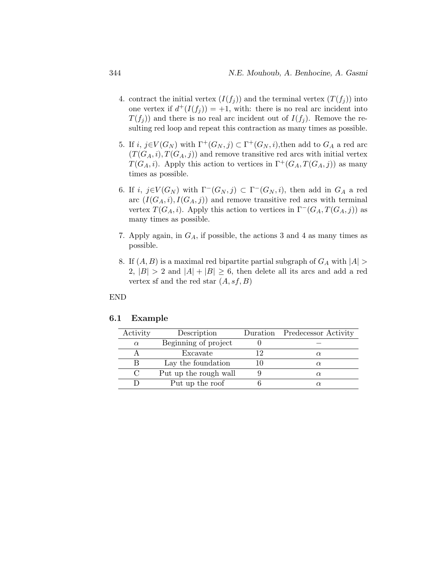- 4. contract the initial vertex  $(I(f_i))$  and the terminal vertex  $(T(f_i))$  into one vertex if  $d^+(I(f_j)) = +1$ , with: there is no real arc incident into  $T(f_i)$  and there is no real arc incident out of  $I(f_j)$ . Remove the resulting red loop and repeat this contraction as many times as possible.
- 5. If  $i, j \in V(G_N)$  with  $\Gamma^+(G_N, j) \subset \Gamma^+(G_N, i)$ , then add to  $G_A$  a red arc  $(T(G_A, i), T(G_A, j))$  and remove transitive red arcs with initial vertex  $T(G_A, i)$ . Apply this action to vertices in  $\Gamma^+(G_A, T(G_A, i))$  as many times as possible.
- 6. If i,  $j \in V(G_N)$  with  $\Gamma^-(G_N, j) \subset \Gamma^-(G_N, i)$ , then add in  $G_A$  a red arc  $(I(G_A, i), I(G_A, j))$  and remove transitive red arcs with terminal vertex  $T(G_A, i)$ . Apply this action to vertices in  $\Gamma^-(G_A, T(G_A, i))$  as many times as possible.
- 7. Apply again, in  $G_A$ , if possible, the actions 3 and 4 as many times as possible.
- 8. If  $(A, B)$  is a maximal red bipartite partial subgraph of  $G_A$  with  $|A|$ 2,  $|B| > 2$  and  $|A| + |B| \ge 6$ , then delete all its arcs and add a red vertex sf and the red star  $(A, sf, B)$

#### END

#### 6.1 Example

| Activity | Description           | Duration Predecessor Activity |
|----------|-----------------------|-------------------------------|
| $\alpha$ | Beginning of project  |                               |
|          | Excavate              | $\alpha$                      |
|          | Lay the foundation    | $\alpha$                      |
|          | Put up the rough wall | $\alpha$                      |
|          | Put up the roof       |                               |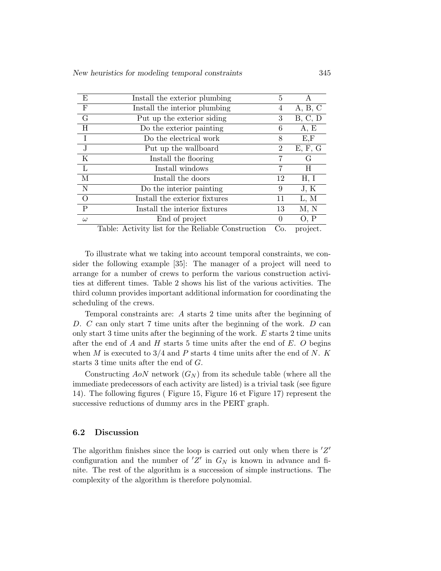| E           | Install the exterior plumbing                      | 5                |          |
|-------------|----------------------------------------------------|------------------|----------|
| $\mathbf F$ | Install the interior plumbing                      | 4                | A, B, C  |
| $\rm G$     | Put up the exterior siding                         | 3                | B, C, D  |
| Η           | Do the exterior painting                           | 6                | A, E     |
| $\mathbf I$ | Do the electrical work                             | 8                | E, F     |
| $\mathbf J$ | Put up the wallboard                               | 2                | E, F, G  |
| $\rm K$     | Install the flooring                               | 7                | G        |
| L           | Install windows                                    | 7                | H        |
| M           | Install the doors                                  | 12               | H, I     |
| N           | Do the interior painting                           | 9                | J, K     |
| $\Omega$    | Install the exterior fixtures                      | 11               | L, M     |
| P           | Install the interior fixtures                      | 13               | M, N     |
| $\omega$    | End of project                                     | $\left( \right)$ | O, P     |
|             | Table: Activity list for the Reliable Construction | Co.              | project. |

To illustrate what we taking into account temporal constraints, we consider the following example [35]: The manager of a project will need to arrange for a number of crews to perform the various construction activities at different times. Table 2 shows his list of the various activities. The third column provides important additional information for coordinating the scheduling of the crews.

Temporal constraints are: A starts 2 time units after the beginning of D. C can only start 7 time units after the beginning of the work. D can only start 3 time units after the beginning of the work. E starts 2 time units after the end of A and H starts 5 time units after the end of E. O begins when M is executed to  $3/4$  and P starts 4 time units after the end of N. K starts 3 time units after the end of G.

Constructing  $AoN$  network  $(G_N)$  from its schedule table (where all the immediate predecessors of each activity are listed) is a trivial task (see figure 14). The following figures ( Figure 15, Figure 16 et Figure 17) represent the successive reductions of dummy arcs in the PERT graph.

#### 6.2 Discussion

The algorithm finishes since the loop is carried out only when there is  $Z'$ configuration and the number of  $Z'$  in  $G_N$  is known in advance and finite. The rest of the algorithm is a succession of simple instructions. The complexity of the algorithm is therefore polynomial.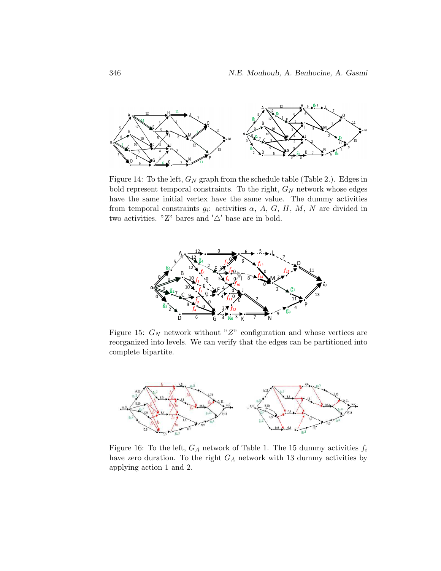

Figure 14: To the left,  $G_N$  graph from the schedule table (Table 2.). Edges in bold represent temporal constraints. To the right,  $G_N$  network whose edges have the same initial vertex have the same value. The dummy activities from temporal constraints  $g_i$ : activities  $\alpha$ ,  $A$ ,  $G$ ,  $H$ ,  $M$ ,  $N$  are divided in two activities. "Z" bares and  $'\triangle'$  base are in bold.



Figure 15:  $G_N$  network without "Z" configuration and whose vertices are reorganized into levels. We can verify that the edges can be partitioned into complete bipartite.



Figure 16: To the left,  $G_A$  network of Table 1. The 15 dummy activities  $f_i$ have zero duration. To the right  $G_A$  network with 13 dummy activities by applying action 1 and 2.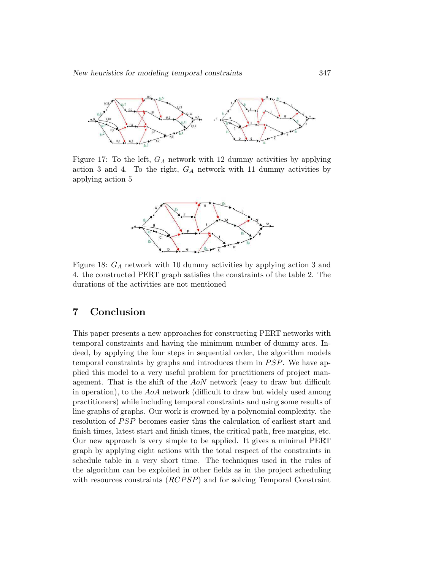

Figure 17: To the left,  $G_A$  network with 12 dummy activities by applying action 3 and 4. To the right,  $G_A$  network with 11 dummy activities by applying action 5



Figure 18:  $G_A$  network with 10 dummy activities by applying action 3 and 4. the constructed PERT graph satisfies the constraints of the table 2. The durations of the activities are not mentioned

# 7 Conclusion

This paper presents a new approaches for constructing PERT networks with temporal constraints and having the minimum number of dummy arcs. Indeed, by applying the four steps in sequential order, the algorithm models temporal constraints by graphs and introduces them in  $PSP$ . We have applied this model to a very useful problem for practitioners of project management. That is the shift of the AoN network (easy to draw but difficult in operation), to the AoA network (difficult to draw but widely used among practitioners) while including temporal constraints and using some results of line graphs of graphs. Our work is crowned by a polynomial complexity. the resolution of *PSP* becomes easier thus the calculation of earliest start and finish times, latest start and finish times, the critical path, free margins, etc. Our new approach is very simple to be applied. It gives a minimal PERT graph by applying eight actions with the total respect of the constraints in schedule table in a very short time. The techniques used in the rules of the algorithm can be exploited in other fields as in the project scheduling with resources constraints  $(RCPSP)$  and for solving Temporal Constraint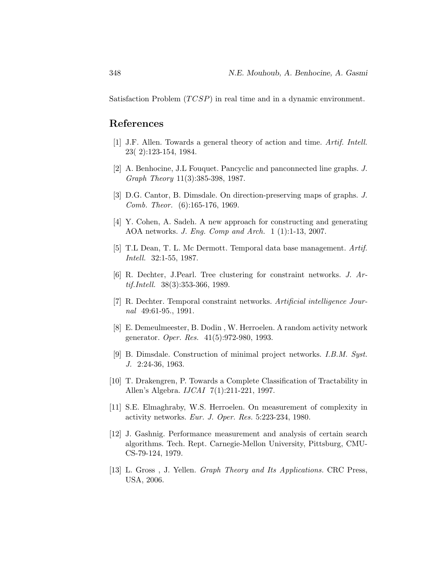Satisfaction Problem  $(TCSP)$  in real time and in a dynamic environment.

### References

- [1] J.F. Allen. Towards a general theory of action and time. Artif. Intell. 23( 2):123-154, 1984.
- [2] A. Benhocine, J.L Fouquet. Pancyclic and panconnected line graphs. J. Graph Theory 11(3):385-398, 1987.
- [3] D.G. Cantor, B. Dimsdale. On direction-preserving maps of graphs. J. Comb. Theor. (6):165-176, 1969.
- [4] Y. Cohen, A. Sadeh. A new approach for constructing and generating AOA networks. J. Eng. Comp and Arch. 1 (1):1-13, 2007.
- [5] T.L Dean, T. L. Mc Dermott. Temporal data base management. Artif. Intell. 32:1-55, 1987.
- [6] R. Dechter, J.Pearl. Tree clustering for constraint networks. J. Artif.Intell. 38(3):353-366, 1989.
- [7] R. Dechter. Temporal constraint networks. Artificial intelligence Journal 49:61-95., 1991.
- [8] E. Demeulmeester, B. Dodin , W. Herroelen. A random activity network generator. Oper. Res. 41(5):972-980, 1993.
- [9] B. Dimsdale. Construction of minimal project networks. I.B.M. Syst. J. 2:24-36, 1963.
- [10] T. Drakengren, P. Towards a Complete Classification of Tractability in Allen's Algebra. IJCAI 7(1):211-221, 1997.
- [11] S.E. Elmaghraby, W.S. Herroelen. On measurement of complexity in activity networks. Eur. J. Oper. Res. 5:223-234, 1980.
- [12] J. Gashnig. Performance measurement and analysis of certain search algorithms. Tech. Rept. Carnegie-Mellon University, Pittsburg, CMU-CS-79-124, 1979.
- [13] L. Gross , J. Yellen. Graph Theory and Its Applications. CRC Press, USA, 2006.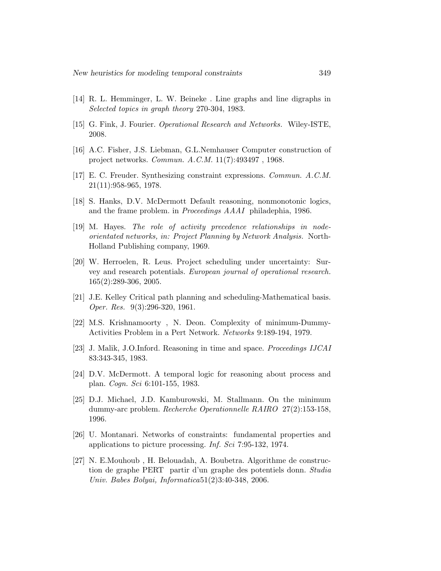- [14] R. L. Hemminger, L. W. Beineke . Line graphs and line digraphs in Selected topics in graph theory 270-304, 1983.
- [15] G. Fink, J. Fourier. Operational Research and Networks. Wiley-ISTE, 2008.
- [16] A.C. Fisher, J.S. Liebman, G.L.Nemhauser Computer construction of project networks. Commun. A.C.M. 11(7):493497 , 1968.
- [17] E. C. Freuder. Synthesizing constraint expressions. Commun. A.C.M. 21(11):958-965, 1978.
- [18] S. Hanks, D.V. McDermott Default reasoning, nonmonotonic logics, and the frame problem. in Proceedings AAAI philadephia, 1986.
- [19] M. Hayes. The role of activity precedence relationships in nodeorientated networks, in: Project Planning by Network Analysis. North-Holland Publishing company, 1969.
- [20] W. Herroelen, R. Leus. Project scheduling under uncertainty: Survey and research potentials. European journal of operational research. 165(2):289-306, 2005.
- [21] J.E. Kelley Critical path planning and scheduling-Mathematical basis. Oper. Res. 9(3):296-320, 1961.
- [22] M.S. Krishnamoorty , N. Deon. Complexity of minimum-Dummy-Activities Problem in a Pert Network. Networks 9:189-194, 1979.
- [23] J. Malik, J.O.Inford. Reasoning in time and space. Proceedings IJCAI 83:343-345, 1983.
- [24] D.V. McDermott. A temporal logic for reasoning about process and plan. Cogn. Sci 6:101-155, 1983.
- [25] D.J. Michael, J.D. Kamburowski, M. Stallmann. On the minimum dummy-arc problem. Recherche Operationnelle RAIRO 27(2):153-158, 1996.
- [26] U. Montanari. Networks of constraints: fundamental properties and applications to picture processing. Inf. Sci 7:95-132, 1974.
- [27] N. E.Mouhoub , H. Belouadah, A. Boubetra. Algorithme de construction de graphe PERT partir d'un graphe des potentiels donn. Studia Univ. Babes Bolyai, Informatica51(2)3:40-348, 2006.